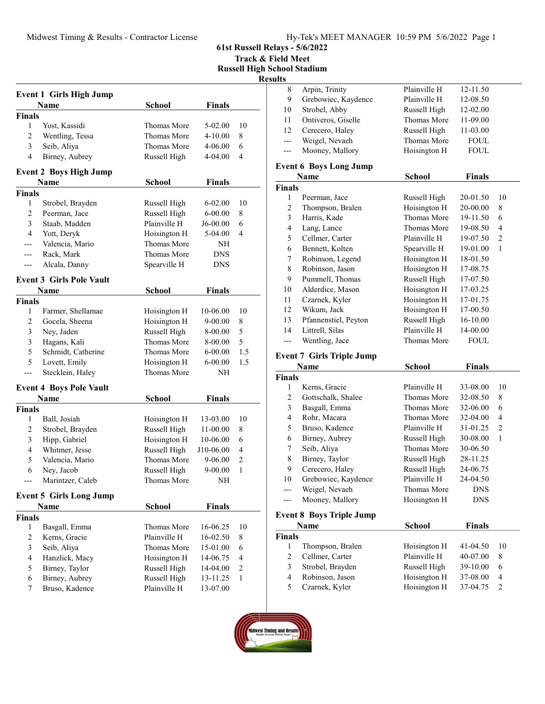Track & Field Meet Russell High School Stadium

Results

|                         | <b>Event 1 Girls High Jump</b>        |               |               |                |
|-------------------------|---------------------------------------|---------------|---------------|----------------|
|                         | Name                                  | <b>School</b> | <b>Finals</b> |                |
| Finals                  |                                       |               |               |                |
| 1                       | Yost, Kassidi                         | Thomas More   | 5-02.00       | 10             |
| $\mathbf{2}$            | Wentling, Tessa                       | Thomas More   | 4-10.00       | 8              |
| $\mathfrak{Z}$          | Seib, Aliya                           | Thomas More   | 4-06.00       | 6              |
| $\overline{4}$          | Birney, Aubrey                        | Russell High  | 4-04.00       | $\overline{4}$ |
|                         |                                       |               |               |                |
|                         | <b>Event 2 Boys High Jump</b><br>Name |               | <b>Finals</b> |                |
| <b>Finals</b>           |                                       | School        |               |                |
|                         |                                       |               |               |                |
| 1                       | Strobel, Brayden                      | Russell High  | $6 - 02.00$   | 10             |
| $\mathfrak{2}$          | Peerman, Jace                         | Russell High  | $6 - 00.00$   | 8              |
| 3                       | Staab, Madden                         | Plainville H  | J6-00.00      | 6              |
| $\overline{4}$          | Yott, Deryk                           | Hoisington H  | 5-04.00       | 4              |
| ---                     | Valencia, Mario                       | Thomas More   | NH            |                |
| ---                     | Rack, Mark                            | Thomas More   | <b>DNS</b>    |                |
| ---                     | Alcala, Danny                         | Spearville H  | <b>DNS</b>    |                |
|                         | <b>Event 3 Girls Pole Vault</b>       |               |               |                |
|                         | Name                                  | <b>School</b> | Finals        |                |
|                         |                                       |               |               |                |
| Finals                  |                                       |               |               |                |
| 1                       | Farmer, Shellamae                     | Hoisington H  | 10-06.00      | 10             |
| $\overline{c}$          | Gocela, Sheena                        | Hoisington H  | $9 - 00.00$   | 8              |
| 3                       | Ney, Jaden                            | Russell High  | 8-00.00       | 5              |
| 3                       | Hagans, Kali                          | Thomas More   | 8-00.00       | 5              |
| 5                       | Schmidt, Catherine                    | Thomas More   | $6 - 00.00$   | 1.5            |
| 5                       | Lovett, Emily                         | Hoisington H  | $6 - 00.00$   | 1.5            |
| ---                     | Stecklein, Haley                      | Thomas More   | NΗ            |                |
|                         | <b>Event 4 Boys Pole Vault</b>        |               |               |                |
|                         | <b>Name</b>                           | School        | Finals        |                |
| Finals                  |                                       |               |               |                |
| 1                       | Ball, Josiah                          | Hoisington H  | 13-03.00      | 10             |
| $\overline{c}$          | Strobel, Brayden                      | Russell High  | 11-00.00      | 8              |
| 3                       | Hipp, Gabriel                         | Hoisington H  | 10-06.00      | 6              |
| $\overline{\mathbf{4}}$ | Whitmer, Jesse                        | Russell High  | J10-06.00     | 4              |
| 5                       | Valencia, Mario                       | Thomas More   | 9-06.00       | 2              |
| 6                       | Ney, Jacob                            | Russell High  | 9-00.00       | 1              |
|                         | Marintzer, Caleb                      | Thomas More   | NH            |                |
|                         |                                       |               |               |                |
|                         | <b>Event 5 Girls Long Jump</b>        |               |               |                |
|                         | Name                                  | School        | <b>Finals</b> |                |
| Finals                  |                                       |               |               |                |
| 1                       | Basgall, Emma                         | Thomas More   | 16-06.25      | 10             |
| 2                       | Kerns, Gracie                         | Plainville H  | 16-02.50      | 8              |
| 3                       | Seib, Aliya                           | Thomas More   | 15-01.00      | 6              |
| 4                       | Hanzlick, Macy                        | Hoisington H  | 14-06.75      | 4              |
| 5                       | Birney, Taylor                        | Russell High  | 14-04.00      | $\overline{c}$ |
| 6                       | Birney, Aubrey                        | Russell High  | 13-11.25      | 1              |
| 7                       | Bruso, Kadence                        | Plainville H  | 13-07.00      |                |
|                         |                                       |               |               |                |

| ılts |                               |              |               |  |
|------|-------------------------------|--------------|---------------|--|
| 8    | Arpin, Trinity                | Plainville H | 12-11.50      |  |
| 9    | Grebowiec, Kaydence           | Plainville H | 12-08.50      |  |
| 10   | Strobel, Abby                 | Russell High | 12-02.00      |  |
| 11   | Ontiveros, Giselle            | Thomas More  | 11-09.00      |  |
| 12   | Cerecero, Haley               | Russell High | 11-03.00      |  |
|      | Weigel, Nevaeh                | Thomas More  | <b>FOUL</b>   |  |
|      | Mooney, Mallory               | Hoisington H | <b>FOUL</b>   |  |
|      | <b>Event 6 Boys Long Jump</b> |              |               |  |
|      | Name                          | School       | <b>Finals</b> |  |

| 114111V        |                      | pengul       | 1 шагэ   |                |
|----------------|----------------------|--------------|----------|----------------|
| <b>Finals</b>  |                      |              |          |                |
| 1              | Peerman, Jace        | Russell High | 20-01.50 | 10             |
| 2              | Thompson, Bralen     | Hoisington H | 20-00.00 | 8              |
| 3              | Harris, Kade         | Thomas More  | 19-11.50 | 6              |
| $\overline{4}$ | Lang, Lance          | Thomas More  | 19-08.50 | $\overline{4}$ |
| 5              | Cellmer, Carter      | Plainville H | 19-07.50 | $\overline{2}$ |
| 6              | Bennett, Kolten      | Spearville H | 19-01.00 | $\mathbf{1}$   |
| 7              | Robinson, Legend     | Hoisington H | 18-01.50 |                |
| 8              | Robinson, Jason      | Hoisington H | 17-08.75 |                |
| 9              | Pummell, Thomas      | Russell High | 17-07.50 |                |
| 10             | Alderdice, Mason     | Hoisington H | 17-03.25 |                |
| 11             | Czarnek, Kyler       | Hoisington H | 17-01.75 |                |
| 12             | Wikum, Jack          | Hoisington H | 17-00.50 |                |
| 13             | Pfannenstiel, Peyton | Russell High | 16-10.00 |                |
| 14             | Littrell, Silas      | Plainville H | 14-00.00 |                |
| ---            | Wentling, Jace       | Thomas More  | FOUL     |                |

#### Event 7 Girls Triple Jump

| <b>Name</b><br><b>Finals</b> |                     | School       | <b>Finals</b> |                |
|------------------------------|---------------------|--------------|---------------|----------------|
|                              |                     |              |               |                |
| 1                            | Kerns, Gracie       | Plainville H | 33-08.00      | 10             |
| 2                            | Gottschalk, Shalee  | Thomas More  | 32-08.50      | 8              |
| 3                            | Basgall, Emma       | Thomas More  | 32-06.00      | 6              |
| 4                            | Rohr, Macara        | Thomas More  | 32-04.00      | 4              |
| 5                            | Bruso, Kadence      | Plainville H | 31-01.25      | $\overline{2}$ |
| 6                            | Birney, Aubrey      | Russell High | 30-08.00      | 1              |
| 7                            | Seib, Aliya         | Thomas More  | 30-06.50      |                |
| 8                            | Birney, Taylor      | Russell High | 28-11.25      |                |
| 9                            | Cerecero, Haley     | Russell High | 24-06.75      |                |
| 10                           | Grebowiec, Kaydence | Plainville H | 24-04.50      |                |
| ---                          | Weigel, Nevaeh      | Thomas More  | <b>DNS</b>    |                |
| ---                          | Mooney, Mallory     | Hoisington H | <b>DNS</b>    |                |

### Event 8 Boys Triple Jump

| Name   |                  | <b>School</b> | <b>Finals</b> |    |  |
|--------|------------------|---------------|---------------|----|--|
| Finals |                  |               |               |    |  |
|        | Thompson, Bralen | Hoisington H  | $41-04.50$    | 10 |  |
|        | Cellmer, Carter  | Plainville H  | 40-07.00      | 8  |  |
| 3      | Strobel, Brayden | Russell High  | 39-10.00      | 6  |  |
| 4      | Robinson, Jason  | Hoisington H  | 37-08.00      | 4  |  |
|        | Czarnek, Kyler   | Hoisington H  | 37-04.75      |    |  |
|        |                  |               |               |    |  |

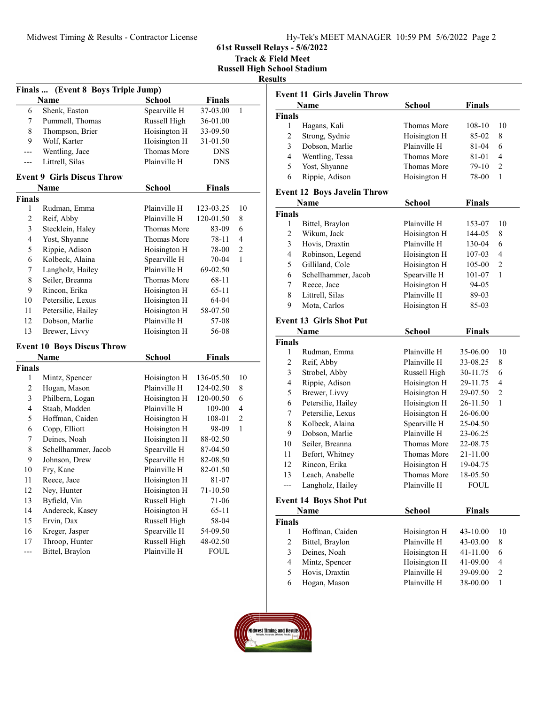| Hy-Tek's MEET MANAGER 10:59 PM 5/6/2022 Page 2 |  |  |  |
|------------------------------------------------|--|--|--|
|------------------------------------------------|--|--|--|

Track & Field Meet Russell High School Stadium

**Results** 

| Finals  (Event 8 Boys Triple Jump) |                                   |               |             |                |  |
|------------------------------------|-----------------------------------|---------------|-------------|----------------|--|
|                                    | Name                              | <b>School</b> | Finals      |                |  |
| 6                                  | Shenk, Easton                     | Spearville H  | 37-03.00    | 1              |  |
| 7                                  | Pummell, Thomas                   | Russell High  | 36-01.00    |                |  |
| 8                                  | Thompson, Brier                   | Hoisington H  | 33-09.50    |                |  |
| 9                                  | Wolf, Karter                      | Hoisington H  | 31-01.50    |                |  |
| ---                                | Wentling, Jace                    | Thomas More   | DNS         |                |  |
| ---                                | Littrell, Silas                   | Plainville H  | <b>DNS</b>  |                |  |
|                                    | <b>Event 9 Girls Discus Throw</b> |               |             |                |  |
|                                    | Name                              | <b>School</b> | Finals      |                |  |
| <b>Finals</b>                      |                                   |               |             |                |  |
| 1                                  | Rudman, Emma                      | Plainville H  | 123-03.25   | 10             |  |
| $\overline{c}$                     | Reif, Abby                        | Plainville H  | 120-01.50   | 8              |  |
| 3                                  | Stecklein, Haley                  | Thomas More   | 83-09       | 6              |  |
| 4                                  | Yost, Shyanne                     | Thomas More   | 78-11       | 4              |  |
| 5                                  | Rippie, Adison                    | Hoisington H  | 78-00       | $\mathfrak{2}$ |  |
| 6                                  | Kolbeck, Alaina                   | Spearville H  | 70-04       | 1              |  |
| 7                                  | Langholz, Hailey                  | Plainville H  | 69-02.50    |                |  |
| 8                                  | Seiler, Breanna                   | Thomas More   | 68-11       |                |  |
| 9                                  | Rincon, Erika                     | Hoisington H  | $65 - 11$   |                |  |
| 10                                 | Petersilie, Lexus                 | Hoisington H  | 64-04       |                |  |
| 11                                 | Petersilie, Hailey                | Hoisington H  | 58-07.50    |                |  |
| 12                                 | Dobson, Marlie                    | Plainville H  | 57-08       |                |  |
| 13                                 | Brewer, Livvy                     | Hoisington H  | 56-08       |                |  |
|                                    | <b>Event 10 Boys Discus Throw</b> |               |             |                |  |
|                                    | Name                              | <b>School</b> | Finals      |                |  |
| <b>Finals</b>                      |                                   |               |             |                |  |
| 1                                  | Mintz, Spencer                    | Hoisington H  | 136-05.50   | 10             |  |
| $\overline{c}$                     | Hogan, Mason                      | Plainville H  | 124-02.50   | 8              |  |
| 3                                  | Philbern, Logan                   | Hoisington H  | 120-00.50   | 6              |  |
| 4                                  | Staab, Madden                     | Plainville H  | 109-00      | 4              |  |
| 5                                  | Hoffman, Caiden                   | Hoisington H  | 108-01      | $\overline{c}$ |  |
| 6                                  | Copp, Elliott                     | Hoisington H  | 98-09       | 1              |  |
| 7                                  | Deines, Noah                      | Hoisington H  | 88-02.50    |                |  |
| 8                                  | Schellhammer, Jacob               | Spearville H  | 87-04.50    |                |  |
| 9                                  | Johnson, Drew                     | Spearville H  | 82-08.50    |                |  |
| 10                                 | Fry, Kane                         | Plainville H  | 82-01.50    |                |  |
| 11                                 | Reece, Jace                       | Hoisington H  | 81-07       |                |  |
| 12                                 | Ney, Hunter                       | Hoisington H  | 71-10.50    |                |  |
| 13                                 | Byfield, Vin                      | Russell High  | 71-06       |                |  |
| 14                                 | Andereck, Kasey                   | Hoisington H  | 65-11       |                |  |
| 15                                 | Ervin, Dax                        | Russell High  | 58-04       |                |  |
| 16                                 | Kreger, Jasper                    | Spearville H  | 54-09.50    |                |  |
| 17                                 | Throop, Hunter                    | Russell High  | 48-02.50    |                |  |
| ---                                | Bittel, Braylon                   | Plainville H  | <b>FOUL</b> |                |  |
|                                    |                                   |               |             |                |  |

|                | <b>Event 11 Girls Javelin Throw</b> |               |               |                |
|----------------|-------------------------------------|---------------|---------------|----------------|
|                | Name                                | <b>School</b> | <b>Finals</b> |                |
| <b>Finals</b>  |                                     |               |               |                |
| 1              | Hagans, Kali                        | Thomas More   | 108-10        | 10             |
| $\overline{2}$ | Strong, Sydnie                      | Hoisington H  | 85-02         | 8              |
| 3              | Dobson, Marlie                      | Plainville H  | 81-04         | 6              |
| 4              | Wentling, Tessa                     | Thomas More   | 81-01         | 4              |
| 5              | Yost, Shyanne                       | Thomas More   | 79-10         | $\overline{2}$ |
| 6              | Rippie, Adison                      | Hoisington H  | 78-00         | 1              |
|                | <b>Event 12 Boys Javelin Throw</b>  |               |               |                |
|                | Name                                | <b>School</b> | <b>Finals</b> |                |
| <b>Finals</b>  |                                     |               |               |                |
| 1              | Bittel, Braylon                     | Plainville H  | 153-07        | 10             |
| 2              | Wikum, Jack                         | Hoisington H  | 144-05        | 8              |
| 3              | Hovis, Draxtin                      | Plainville H  | 130-04        | 6              |
| 4              | Robinson, Legend                    | Hoisington H  | 107-03        | 4              |
| 5              | Gilliland, Cole                     | Hoisington H  | 105-00        | $\overline{c}$ |
| 6              | Schellhammer, Jacob                 | Spearville H  | 101-07        | 1              |
| 7              | Reece, Jace                         | Hoisington H  | 94-05         |                |
| 8              | Littrell, Silas                     | Plainville H  | 89-03         |                |
| 9              | Mota, Carlos                        |               | 85-03         |                |
|                |                                     | Hoisington H  |               |                |
|                | <b>Event 13 Girls Shot Put</b>      |               |               |                |
|                | Name                                | <b>School</b> | <b>Finals</b> |                |
| <b>Finals</b>  |                                     |               |               |                |
| 1              | Rudman, Emma                        | Plainville H  | 35-06.00      | 10             |
| 2              | Reif, Abby                          | Plainville H  | 33-08.25      | 8              |
| 3              | Strobel, Abby                       | Russell High  | 30-11.75      | 6              |
| 4              | Rippie, Adison                      | Hoisington H  | 29-11.75      | 4              |
| 5              | Brewer, Livvy                       | Hoisington H  | 29-07.50      | $\overline{2}$ |
| 6              | Petersilie, Hailey                  | Hoisington H  | 26-11.50      | 1              |
| 7              | Petersilie, Lexus                   | Hoisington H  | 26-06.00      |                |
| 8              | Kolbeck, Alaina                     | Spearville H  | 25-04.50      |                |
| 9              | Dobson, Marlie                      | Plainville H  | 23-06.25      |                |
| 10             | Seiler, Breanna                     | Thomas More   | 22-08.75      |                |
| 11             | Befort, Whitney                     | Thomas More   | 21-11.00      |                |
| 12             | Rincon, Erika                       | Hoisington H  | 19-04.75      |                |
| 13             | Leach, Anabelle                     | Thomas More   | 18-05.50      |                |
|                | Langholz, Hailey                    | Plainville H  | <b>FOUL</b>   |                |
|                |                                     |               |               |                |
|                | <b>Event 14 Boys Shot Put</b>       |               |               |                |
|                | Name                                | <b>School</b> | <b>Finals</b> |                |
| <b>Finals</b>  |                                     |               |               |                |
| 1              | Hoffman, Caiden                     | Hoisington H  | 43-10.00      | 10             |
| $\overline{c}$ | Bittel, Braylon                     | Plainville H  | 43-03.00      | 8              |
| 3              | Deines, Noah                        | Hoisington H  | 41-11.00      | 6              |
| $\overline{4}$ | Mintz, Spencer                      | Hoisington H  | 41-09.00      | $\overline{4}$ |
| 5              | Hovis, Draxtin                      | Plainville H  | 39-09.00      | $\overline{c}$ |
| 6              | Hogan, Mason                        | Plainville H  | 38-00.00      | $\mathbf{1}$   |

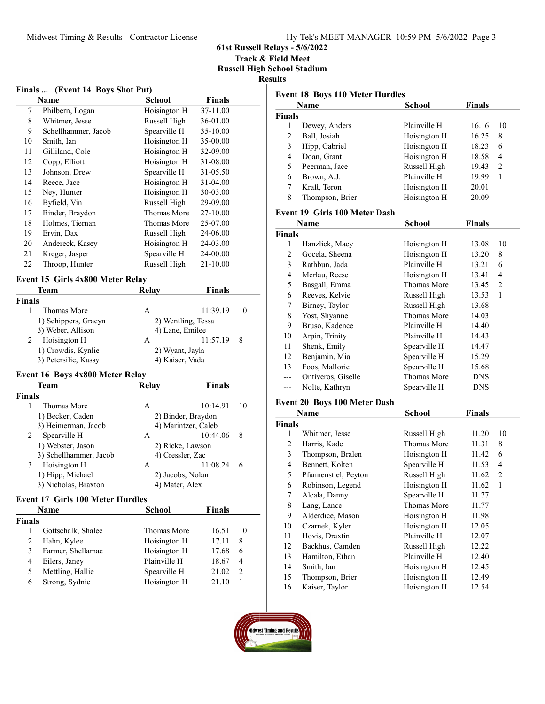|  | Hy-Tek's MEET MANAGER 10:59 PM 5/6/2022 Page 3 |  |  |
|--|------------------------------------------------|--|--|
|  |                                                |  |  |

Track & Field Meet Russell High School Stadium

**Results** 

|                         | Finals  (Event 14 Boys Shot Put)        |                                           |               |                         |
|-------------------------|-----------------------------------------|-------------------------------------------|---------------|-------------------------|
|                         | Name                                    | <b>School</b>                             | <b>Finals</b> |                         |
| 7                       | Philbern, Logan                         | Hoisington H                              | 37-11.00      |                         |
| 8                       | Whitmer, Jesse                          | Russell High                              | 36-01.00      |                         |
| 9                       | Schellhammer, Jacob                     | Spearville H                              | 35-10.00      |                         |
| 10                      | Smith, Ian                              | Hoisington H                              | 35-00.00      |                         |
| 11                      | Gilliland, Cole                         | Hoisington H                              | 32-09.00      |                         |
| 12                      | Copp, Elliott                           | Hoisington H                              | 31-08.00      |                         |
| 13                      | Johnson, Drew                           | Spearville H                              | 31-05.50      |                         |
| 14                      | Reece, Jace                             | Hoisington H                              | 31-04.00      |                         |
| 15                      | Ney, Hunter                             | Hoisington H                              | 30-03.00      |                         |
| 16                      | Byfield, Vin                            | Russell High                              | 29-09.00      |                         |
| 17                      | Binder, Braydon                         | Thomas More                               | 27-10.00      |                         |
| 18                      | Holmes, Tiernan                         | Thomas More                               | 25-07.00      |                         |
| 19                      | Ervin, Dax                              | Russell High                              | 24-06.00      |                         |
| 20                      | Andereck, Kasey                         | Hoisington H                              | 24-03.00      |                         |
| 21                      | Kreger, Jasper                          | Spearville H                              | 24-00.00      |                         |
| 22                      | Throop, Hunter                          | Russell High                              | 21-10.00      |                         |
|                         | Event 15 Girls 4x800 Meter Relay        |                                           |               |                         |
|                         | Team                                    | <b>Relay</b>                              | <b>Finals</b> |                         |
| <b>Finals</b>           |                                         |                                           |               |                         |
| 1                       | <b>Thomas More</b>                      | A                                         | 11:39.19      | 10                      |
|                         | 1) Schippers, Gracyn                    | 2) Wentling, Tessa                        |               |                         |
|                         | 3) Weber, Allison                       | 4) Lane, Emilee                           |               |                         |
| 2                       | Hoisington H                            | А                                         | 11:57.19      | 8                       |
|                         | 1) Crowdis, Kynlie                      | 2) Wyant, Jayla                           |               |                         |
|                         | 3) Petersilie, Kassy                    | 4) Kaiser, Vada                           |               |                         |
|                         |                                         |                                           |               |                         |
|                         | Event 16 Boys 4x800 Meter Relay         |                                           |               |                         |
|                         | Team                                    | <b>Relay</b>                              | <b>Finals</b> |                         |
| Finals<br>1             | Thomas More                             | A                                         | 10:14.91      | 10                      |
|                         |                                         |                                           |               |                         |
|                         | 1) Becker, Caden<br>3) Heimerman, Jacob | 2) Binder, Braydon<br>4) Marintzer, Caleb |               |                         |
| 2                       | Spearville H                            | А                                         | 10:44.06      | 8                       |
|                         | 1) Webster, Jason                       | 2) Ricke, Lawson                          |               |                         |
|                         | 3) Schellhammer, Jacob                  | 4) Cressler, Zac                          |               |                         |
| 3                       | Hoisington H                            | A                                         | 11:08.24      | 6                       |
|                         | 1) Hipp, Michael                        | 2) Jacobs, Nolan                          |               |                         |
|                         | 3) Nicholas, Braxton                    | 4) Mater, Alex                            |               |                         |
|                         | <b>Event 17 Girls 100 Meter Hurdles</b> |                                           |               |                         |
|                         | <b>Name</b>                             | <b>School</b>                             | <b>Finals</b> |                         |
| <b>Finals</b>           |                                         |                                           |               |                         |
| $\mathbf{1}$            | Gottschalk, Shalee                      | Thomas More                               | 16.51         | 10                      |
| $\overline{c}$          | Hahn, Kylee                             | Hoisington H                              | 17.11         | 8                       |
| $\mathfrak{Z}$          | Farmer, Shellamae                       | Hoisington H                              | 17.68         | 6                       |
| $\overline{\mathbf{4}}$ | Eilers, Janey                           | Plainville H                              | 18.67         | $\overline{\mathbf{4}}$ |
| 5                       | Mettling, Hallie                        | Spearville H                              | 21.02         | 2                       |
| 6                       | Strong, Sydnie                          | Hoisington H                              | 21.10         | $\mathbf{1}$            |
|                         |                                         |                                           |               |                         |

| <b>Event 18 Boys 110 Meter Hurdles</b> |                                     |                             |               |                |  |
|----------------------------------------|-------------------------------------|-----------------------------|---------------|----------------|--|
|                                        | Name                                | School                      | <b>Finals</b> |                |  |
| <b>Finals</b>                          |                                     |                             |               |                |  |
| 1                                      | Dewey, Anders                       | Plainville H                | 16.16         | 10             |  |
| $\overline{c}$                         | Ball, Josiah                        | Hoisington H                | 16.25         | 8              |  |
| 3                                      | Hipp, Gabriel                       | Hoisington H                | 18.23         | 6              |  |
| 4                                      | Doan, Grant                         | Hoisington H                | 18.58         | 4              |  |
| 5                                      | Peerman, Jace                       | Russell High                | 19.43         | $\overline{c}$ |  |
| 6                                      | Brown, A.J.                         | Plainville H                | 19.99         | 1              |  |
| 7                                      | Kraft, Teron                        | Hoisington H                | 20.01         |                |  |
| 8                                      | Thompson, Brier                     | Hoisington H                | 20.09         |                |  |
|                                        | Event 19 Girls 100 Meter Dash       |                             |               |                |  |
|                                        | Name                                | School                      | <b>Finals</b> |                |  |
| <b>Finals</b>                          |                                     |                             |               |                |  |
| 1                                      | Hanzlick, Macy                      | Hoisington H                | 13.08         | 10             |  |
| $\overline{c}$                         | Gocela, Sheena                      | Hoisington H                | 13.20         | 8              |  |
| 3                                      | Rathbun, Jada                       | Plainville H                | 13.21         | 6              |  |
| 4                                      | Merlau, Reese                       | Hoisington H                | 13.41         | 4              |  |
| 5                                      | Basgall, Emma                       | Thomas More                 | 13.45         | $\overline{c}$ |  |
| 6                                      | Reeves, Kelvie                      | Russell High                | 13.53         | 1              |  |
| 7                                      | Birney, Taylor                      | Russell High                | 13.68         |                |  |
| 8                                      | Yost, Shyanne                       | Thomas More                 | 14.03         |                |  |
| 9                                      | Bruso, Kadence                      | Plainville H                | 14.40         |                |  |
| 10                                     | Arpin, Trinity                      | Plainville H                | 14.43         |                |  |
| 11                                     | Shenk, Emily                        | Spearville H                | 14.47         |                |  |
| 12                                     | Benjamin, Mia                       | Spearville H                | 15.29         |                |  |
|                                        |                                     |                             |               |                |  |
| 13                                     | Foos, Mallorie                      | Spearville H<br>Thomas More | 15.68         |                |  |
| ---                                    | Ontiveros, Giselle                  |                             | DNS           |                |  |
| ---                                    | Nolte, Kathryn                      | Spearville H                | <b>DNS</b>    |                |  |
|                                        | <b>Event 20 Boys 100 Meter Dash</b> |                             |               |                |  |
|                                        | Name                                | School                      | <b>Finals</b> |                |  |
| <b>Finals</b>                          |                                     |                             |               |                |  |
| 1                                      | Whitmer, Jesse                      | Russell High                | 11.20         | 10             |  |
| 2                                      | Harris, Kade                        | Thomas More                 | 11.31         | 8              |  |
| 3                                      | Thompson, Bralen                    | Hoisington H                | 11.42         | 6              |  |
| 4                                      | Bennett, Kolten                     | Spearville H                | 11.53         | 4              |  |
| 5                                      | Pfannenstiel, Peyton                | Russell High                | 11.62         | $\overline{c}$ |  |
| 6                                      | Robinson, Legend                    | Hoisington H                | 11.62         | 1              |  |
| 7                                      | Alcala, Danny                       | Spearville H                | 11.77         |                |  |
| 8                                      | Lang, Lance                         | Thomas More                 | 11.77         |                |  |
| 9                                      | Alderdice, Mason                    | Hoisington H                | 11.98         |                |  |
| 10                                     | Czarnek, Kyler                      | Hoisington H                | 12.05         |                |  |
| 11                                     | Hovis, Draxtin                      | Plainville H                | 12.07         |                |  |
| 12                                     | Backhus, Camden                     | Russell High                | 12.22         |                |  |
| 13                                     | Hamilton, Ethan                     | Plainville H                | 12.40         |                |  |
| 14                                     | Smith, Ian                          | Hoisington H                | 12.45         |                |  |
| 15                                     | Thompson, Brier                     | Hoisington H                | 12.49         |                |  |
| 16                                     | Kaiser, Taylor                      | Hoisington H                | 12.54         |                |  |

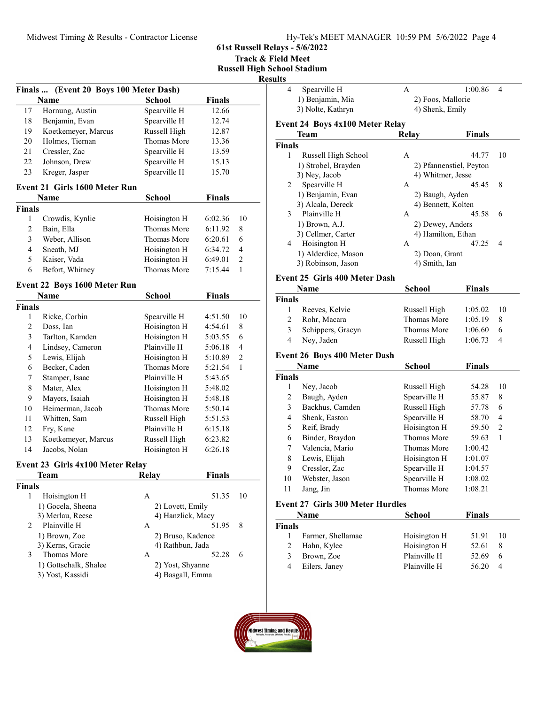| Hy-Tek's MEET MANAGER 10:59 PM 5/6/2022 Page 4 |  |  |  |
|------------------------------------------------|--|--|--|
|------------------------------------------------|--|--|--|

Track & Field Meet Russell High School Stadium

kesult

|                |                                        |                   |               | R              |
|----------------|----------------------------------------|-------------------|---------------|----------------|
|                | Finals  (Event 20 Boys 100 Meter Dash) |                   |               |                |
|                | Name                                   | <b>School</b>     | Finals        |                |
| 17             | Hornung, Austin                        | Spearville H      | 12.66         |                |
| 18             | Benjamin, Evan                         | Spearville H      | 12.74         |                |
| 19             | Koetkemeyer, Marcus                    | Russell High      | 12.87         |                |
| 20             | Holmes, Tiernan                        | Thomas More       | 13.36         |                |
| 21             | Cressler, Zac                          | Spearville H      | 13.59         |                |
| 22             | Johnson, Drew                          | Spearville H      | 15.13         |                |
| 23             | Kreger, Jasper                         | Spearville H      | 15.70         |                |
|                | Event 21 Girls 1600 Meter Run          |                   |               |                |
|                | Name                                   | <b>School</b>     | <b>Finals</b> |                |
| <b>Finals</b>  |                                        |                   |               |                |
| 1              | Crowdis, Kynlie                        | Hoisington H      | 6:02.36       | 10             |
| $\overline{2}$ | Bain, Ella                             | Thomas More       | 6:11.92       | 8              |
| 3              | Weber, Allison                         | Thomas More       | 6:20.61       | 6              |
| 4              | Sneath, MJ                             | Hoisington H      | 6:34.72       | 4              |
| 5              | Kaiser, Vada                           | Hoisington H      | 6:49.01       | $\mathfrak{2}$ |
| 6              | Befort, Whitney                        | Thomas More       | 7:15.44       | 1              |
|                | Event 22 Boys 1600 Meter Run           |                   |               |                |
|                | Name                                   | School            | <b>Finals</b> |                |
| <b>Finals</b>  |                                        |                   |               |                |
| 1              | Ricke, Corbin                          | Spearville H      | 4:51.50       | 10             |
| 2              | Doss, Ian                              | Hoisington H      | 4:54.61       | 8              |
| 3              | Tarlton, Kamden                        | Hoisington H      | 5:03.55       | 6              |
| $\overline{4}$ | Lindsey, Cameron                       | Plainville H      | 5:06.18       | 4              |
| 5              | Lewis, Elijah                          | Hoisington H      | 5:10.89       | 2              |
| 6              | Becker, Caden                          | Thomas More       | 5:21.54       | 1              |
| 7              | Stamper, Isaac                         | Plainville H      | 5:43.65       |                |
| 8              | Mater, Alex                            | Hoisington H      | 5:48.02       |                |
| 9              | Mayers, Isaiah                         | Hoisington H      | 5:48.18       |                |
| 10             | Heimerman, Jacob                       | Thomas More       | 5:50.14       |                |
| 11             | Whitten, Sam                           | Russell High      | 5:51.53       |                |
| 12             | Fry, Kane                              | Plainville H      | 6:15.18       |                |
| 13             | Koetkemeyer, Marcus                    | Russell High      | 6:23.82       |                |
| 14             | Jacobs, Nolan                          | Hoisington H      | 6:26.18       |                |
|                | Event 23 Girls 4x100 Meter Relay       |                   |               |                |
|                | Team                                   | Relay             | Finals        |                |
| <b>Finals</b>  |                                        |                   |               |                |
| 1              | Hoisington H                           | Α                 | 51.35         | 10             |
|                | 1) Gocela, Sheena                      | 2) Lovett, Emily  |               |                |
|                | 3) Merlau, Reese                       | 4) Hanzlick, Macy |               |                |
| 2              | Plainville H                           | А                 | 51.95         | 8              |
|                | 1) Brown, Zoe                          | 2) Bruso, Kadence |               |                |
|                | 3) Kerns, Gracie                       | 4) Rathbun, Jada  |               |                |
| 3              | Thomas More                            | А                 | 52.28         | 6              |
|                | 1) Gottschalk, Shalee                  | 2) Yost, Shyanne  |               |                |
|                | 3) Yost, Kassidi                       | 4) Basgall, Emma  |               |                |
|                |                                        |                   |               |                |

| 4              | Spearville H                            | A                            | 1:00.86                 | 4              |
|----------------|-----------------------------------------|------------------------------|-------------------------|----------------|
|                | 1) Benjamin, Mia                        | 2) Foos, Mallorie            |                         |                |
|                | 3) Nolte, Kathryn                       | 4) Shenk, Emily              |                         |                |
|                | <b>Event 24 Boys 4x100 Meter Relay</b>  |                              |                         |                |
|                | Team                                    | <b>Relay</b>                 | <b>Finals</b>           |                |
| <b>Finals</b>  |                                         |                              |                         |                |
| 1              | Russell High School                     | А                            | 44.77                   | 10             |
|                | 1) Strobel, Brayden                     |                              | 2) Pfannenstiel, Peyton |                |
|                | 3) Ney, Jacob                           | 4) Whitmer, Jesse            |                         |                |
| 2              | Spearville H                            | А                            | 45.45                   | 8              |
|                | 1) Benjamin, Evan                       | 2) Baugh, Ayden              |                         |                |
|                | 3) Alcala, Dereck                       | 4) Bennett, Kolten           |                         |                |
| 3              | Plainville H                            | А                            | 45.58                   | 6              |
|                | 1) Brown, A.J.                          | 2) Dewey, Anders             |                         |                |
|                | 3) Cellmer, Carter                      | 4) Hamilton, Ethan           |                         |                |
| 4              | Hoisington H                            | A                            | 47.25                   | 4              |
|                | 1) Alderdice, Mason                     | 2) Doan, Grant               |                         |                |
|                | 3) Robinson, Jason                      | 4) Smith, Ian                |                         |                |
|                | <b>Event 25 Girls 400 Meter Dash</b>    |                              |                         |                |
|                | Name                                    | School                       | <b>Finals</b>           |                |
| <b>Finals</b>  |                                         |                              |                         |                |
| 1              | Reeves, Kelvie                          | Russell High                 | 1:05.02                 | 10             |
| $\overline{c}$ | Rohr, Macara                            | Thomas More                  | 1:05.19                 | 8              |
| 3              | Schippers, Gracyn                       | Thomas More                  | 1:06.60                 | 6              |
| 4              | Ney, Jaden                              | Russell High                 | 1:06.73                 | 4              |
|                | Event 26 Boys 400 Meter Dash            |                              |                         |                |
|                | <b>Name</b>                             | School                       | <b>Finals</b>           |                |
| <b>Finals</b>  |                                         |                              |                         |                |
| 1              | Ney, Jacob                              | Russell High                 | 54.28                   | 10             |
| $\overline{c}$ | Baugh, Ayden                            | Spearville H                 | 55.87                   | 8              |
| 3              | Backhus, Camden                         | Russell High                 | 57.78                   | 6              |
| 4              | Shenk, Easton                           | Spearville H                 | 58.70                   | 4              |
| 5              | Reif, Brady                             | Hoisington H                 | 59.50                   | $\overline{c}$ |
| 6              | Binder, Braydon                         | Thomas More                  | 59.63                   | 1              |
| 7              | Valencia, Mario                         | Thomas More                  | 1:00.42                 |                |
| 8              | Lewis, Elijah                           | Hoisington H                 | 1:01.07                 |                |
| 9              | Cressler, Zac                           | Spearville H                 | 1:04.57                 |                |
| 10             | Webster, Jason                          | Spearville H                 | 1:08.02                 |                |
| 11             | Jang, Jin                               | Thomas More                  | 1:08.21                 |                |
|                |                                         |                              |                         |                |
|                | <b>Event 27 Girls 300 Meter Hurdles</b> |                              |                         |                |
|                | Name                                    | <b>School</b>                | <b>Finals</b>           |                |
| <b>Finals</b>  | Farmer, Shellamae                       |                              |                         | 10             |
| 1<br>2         |                                         | Hoisington H                 | 51.91<br>52.61          |                |
| 3              | Hahn, Kylee                             | Hoisington H                 |                         | 8              |
|                | Brown, Zoe<br>Eilers, Janey             | Plainville H<br>Plainville H | 52.69<br>56.20          | 6<br>4         |
| $\overline{4}$ |                                         |                              |                         |                |

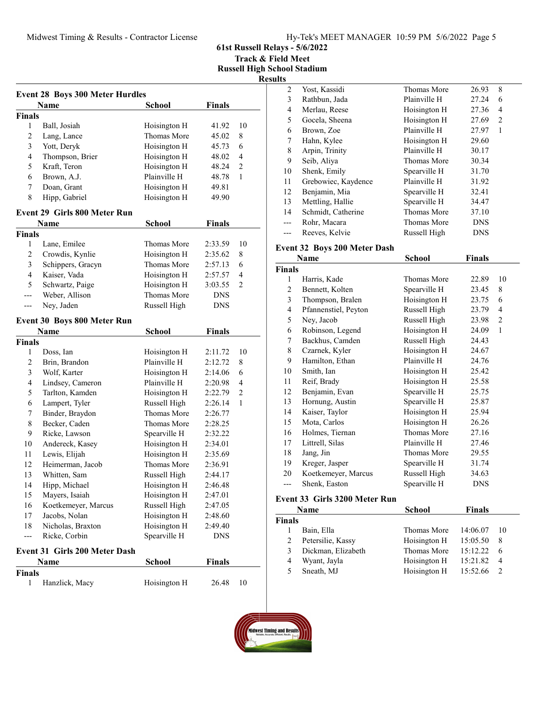#### Midwest Timing & Results - Contractor License Hy-Tek's MEET MANAGER 10:59 PM 5/6/2022 Page 5

61st Russell Relays - 5/6/2022

Track & Field Meet Russell High School Stadium

Result

|                | <b>Event 28 Boys 300 Meter Hurdles</b> |               |               |    |
|----------------|----------------------------------------|---------------|---------------|----|
|                | Name                                   | School        | <b>Finals</b> |    |
| <b>Finals</b>  |                                        |               |               |    |
| 1              | Ball, Josiah                           | Hoisington H  | 41.92         | 10 |
| $\overline{c}$ | Lang, Lance                            | Thomas More   | 45.02         | 8  |
| 3              | Yott, Deryk                            | Hoisington H  | 45.73         | 6  |
| 4              | Thompson, Brier                        | Hoisington H  | 48.02         | 4  |
| 5              | Kraft, Teron                           | Hoisington H  | 48.24         | 2  |
| 6              | Brown, A.J.                            | Plainville H  | 48.78         | 1  |
| 7              | Doan, Grant                            | Hoisington H  | 49.81         |    |
| 8              | Hipp, Gabriel                          | Hoisington H  | 49.90         |    |
|                | <b>Event 29 Girls 800 Meter Run</b>    |               |               |    |
|                | Name                                   | <b>School</b> | <b>Finals</b> |    |
| <b>Finals</b>  |                                        |               |               |    |
| 1              | Lane, Emilee                           | Thomas More   | 2:33.59       | 10 |
| $\overline{c}$ | Crowdis, Kynlie                        | Hoisington H  | 2:35.62       | 8  |
| 3              | Schippers, Gracyn                      | Thomas More   | 2:57.13       | 6  |
| 4              | Kaiser, Vada                           | Hoisington H  | 2:57.57       | 4  |
| 5              | Schwartz, Paige                        | Hoisington H  | 3:03.55       | 2  |
| ---            | Weber, Allison                         | Thomas More   | <b>DNS</b>    |    |
| ---            | Ney, Jaden                             | Russell High  | <b>DNS</b>    |    |
|                | Event 30 Boys 800 Meter Run            |               |               |    |
|                | Name                                   | <b>School</b> | <b>Finals</b> |    |
| <b>Finals</b>  |                                        |               |               |    |
| 1              | Doss, Ian                              | Hoisington H  | 2:11.72       | 10 |
| 2              | Brin, Brandon                          | Plainville H  | 2:12.72       | 8  |
| 3              | Wolf, Karter                           | Hoisington H  | 2:14.06       | 6  |
| 4              | Lindsey, Cameron                       | Plainville H  | 2:20.98       | 4  |
| 5              | Tarlton, Kamden                        | Hoisington H  | 2:22.79       | 2  |
| 6              | Lampert, Tyler                         | Russell High  | 2:26.14       | 1  |
| 7              | Binder, Braydon                        | Thomas More   | 2:26.77       |    |
| 8              | Becker, Caden                          | Thomas More   | 2:28.25       |    |
| 9              | Ricke, Lawson                          | Spearville H  | 2:32.22       |    |
| 10             | Andereck, Kasey                        | Hoisington H  | 2:34.01       |    |
| 11             | Lewis, Elijah                          | Hoisington H  | 2:35.69       |    |
| 12             | Heimerman, Jacob                       | Thomas More   | 2:36.91       |    |
| 13             | Whitten, Sam                           | Russell High  | 2:44.17       |    |
| 14             | Hipp, Michael                          | Hoisington H  | 2:46.48       |    |
| 15             | Mayers, Isaiah                         | Hoisington H  | 2:47.01       |    |
| 16             | Koetkemeyer, Marcus                    | Russell High  | 2:47.05       |    |
| 17             | Jacobs, Nolan                          | Hoisington H  | 2:48.60       |    |
| 18             | Nicholas, Braxton                      | Hoisington H  | 2:49.40       |    |
| ---            | Ricke, Corbin                          | Spearville H  | <b>DNS</b>    |    |
|                | <b>Event 31 Girls 200 Meter Dash</b>   |               |               |    |
|                | Name                                   | <b>School</b> | <b>Finals</b> |    |
| <b>Finals</b>  |                                        |               |               |    |
| $\mathbf{1}$   | Hanzlick, Macy                         | Hoisington H  | 26.48         | 10 |
|                |                                        |               |               |    |

| ts  |                     |              |            |                |  |
|-----|---------------------|--------------|------------|----------------|--|
| 2   | Yost, Kassidi       | Thomas More  | 26.93      | 8              |  |
| 3   | Rathbun, Jada       | Plainville H | 27.24      | 6              |  |
| 4   | Merlau, Reese       | Hoisington H | 27.36      | $\overline{4}$ |  |
| 5   | Gocela, Sheena      | Hoisington H | 27.69      | 2              |  |
| 6   | Brown, Zoe          | Plainville H | 27.97      | 1              |  |
| 7   | Hahn, Kylee         | Hoisington H | 29.60      |                |  |
| 8   | Arpin, Trinity      | Plainville H | 30.17      |                |  |
| 9   | Seib, Aliya         | Thomas More  | 30.34      |                |  |
| 10  | Shenk, Emily        | Spearville H | 31.70      |                |  |
| 11  | Grebowiec, Kaydence | Plainville H | 31.92      |                |  |
| 12  | Benjamin, Mia       | Spearville H | 32.41      |                |  |
| 13  | Mettling, Hallie    | Spearville H | 34.47      |                |  |
| 14  | Schmidt, Catherine  | Thomas More  | 37.10      |                |  |
| --- | Rohr, Macara        | Thomas More  | <b>DNS</b> |                |  |
|     | Reeves, Kelvie      | Russell High | DNS        |                |  |
|     |                     |              |            |                |  |

#### Event 32 Boys 200 Meter Dash

|                | Name                 | School       | <b>Finals</b> |              |
|----------------|----------------------|--------------|---------------|--------------|
| <b>Finals</b>  |                      |              |               |              |
| 1              | Harris, Kade         | Thomas More  | 22.89         | 10           |
| 2              | Bennett, Kolten      | Spearville H | 23.45         | 8            |
| 3              | Thompson, Bralen     | Hoisington H | 23.75         | 6            |
| $\overline{4}$ | Pfannenstiel, Peyton | Russell High | 23.79         | 4            |
| 5              | Ney, Jacob           | Russell High | 23.98         | 2            |
| 6              | Robinson, Legend     | Hoisington H | 24.09         | $\mathbf{1}$ |
| 7              | Backhus, Camden      | Russell High | 24.43         |              |
| 8              | Czarnek, Kyler       | Hoisington H | 24.67         |              |
| 9              | Hamilton, Ethan      | Plainville H | 24.76         |              |
| 10             | Smith, Ian           | Hoisington H | 25.42         |              |
| 11             | Reif, Brady          | Hoisington H | 25.58         |              |
| 12             | Benjamin, Evan       | Spearville H | 25.75         |              |
| 13             | Hornung, Austin      | Spearville H | 25.87         |              |
| 14             | Kaiser, Taylor       | Hoisington H | 25.94         |              |
| 15             | Mota, Carlos         | Hoisington H | 26.26         |              |
| 16             | Holmes, Tiernan      | Thomas More  | 27.16         |              |
| 17             | Littrell, Silas      | Plainville H | 27.46         |              |
| 18             | Jang, Jin            | Thomas More  | 29.55         |              |
| 19             | Kreger, Jasper       | Spearville H | 31.74         |              |
| 20             | Koetkemeyer, Marcus  | Russell High | 34.63         |              |
| ---            | Shenk, Easton        | Spearville H | <b>DNS</b>    |              |
|                |                      |              |               |              |

### Event 33 Girls 3200 Meter Run

|               | <b>Name</b>        | <b>School</b> | <b>Finals</b> |    |
|---------------|--------------------|---------------|---------------|----|
| <b>Finals</b> |                    |               |               |    |
|               | Bain, Ella         | Thomas More   | 14:06.07      | 10 |
| 2             | Petersilie, Kassy  | Hoisington H  | 15:05.50      | 8  |
| 3             | Dickman, Elizabeth | Thomas More   | 15:12.22      | 6  |
| 4             | Wyant, Jayla       | Hoisington H  | 15:21.82      | 4  |
| 5             | Sneath, MJ         | Hoisington H  | 15:52.66      |    |